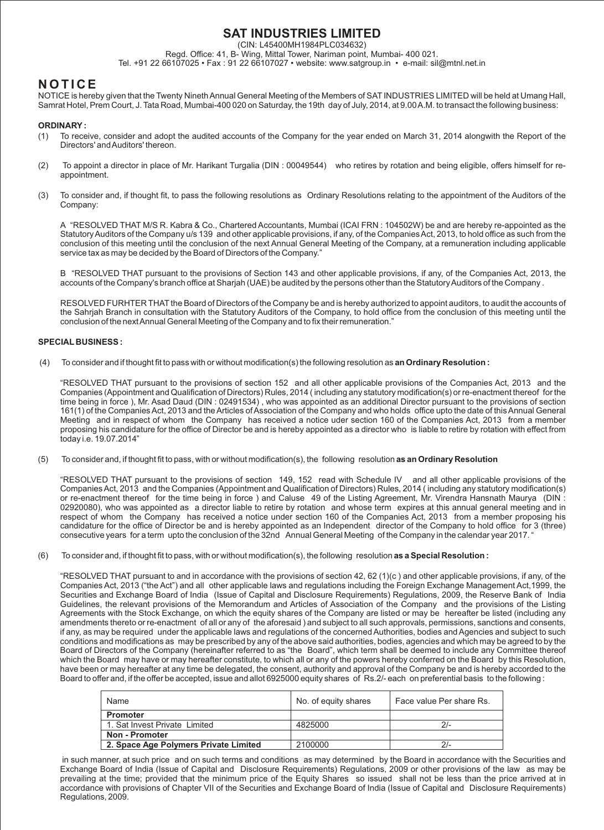# **SAT INDUSTRIES LIMITED**

(CIN: L45400MH1984PLC034632)

Regd. Office: 41, B- Wing, Mittal Tower, Nariman point, Mumbai- 400 021. Tel. +91 22 66107025 • Fax : 91 22 66107027 • website: www.satgroup.in • e-mail: sil@mtnl.net.in

# **N O T I C E**

NOTICE is hereby given that the Twenty Nineth Annual General Meeting of the Members of SAT INDUSTRIES LIMITED will be held at Umang Hall, Samrat Hotel, Prem Court, J. Tata Road, Mumbai-400 020 on Saturday, the 19th day of July, 2014, at 9.00 A.M. to transact the following business:

# **ORDINARY:**

- (1) To receive, consider and adopt the audited accounts of the Company for the year ended on March 31, 2014 alongwith the Report of the Directors' and Auditors' thereon.
- (2) To appoint a director in place of Mr. Harikant Turgalia (DIN : 00049544) who retires by rotation and being eligible, offers himself for reappointment.
- (3) To consider and, if thought fit, to pass the following resolutions as Ordinary Resolutions relating to the appointment of the Auditors of the Company:

A "RESOLVED THAT M/S R. Kabra & Co., Chartered Accountants, Mumbai (ICAI FRN : 104502W) be and are hereby re-appointed as the Statutory Auditors of the Company u/s 139 and other applicable provisions, if any, of the Companies Act, 2013, to hold office as such from the conclusion of this meeting until the conclusion of the next Annual General Meeting of the Company, at a remuneration including applicable service tax as may be decided by the Board of Directors of the Company."

B "RESOLVED THAT pursuant to the provisions of Section 143 and other applicable provisions, if any, of the Companies Act, 2013, the accounts of the Company's branch office at Sharjah (UAE) be audited by the persons other than the Statutory Auditors of the Company .

RESOLVED FURHTER THAT the Board of Directors of the Company be and is hereby authorized to appoint auditors, to audit the accounts of the Sahrjah Branch in consultation with the Statutory Auditors of the Company, to hold office from the conclusion of this meeting until the conclusion of the next Annual General Meeting of the Company and to fix their remuneration."

# **SPECIAL BUSINESS :**

(4) To consider and if thought fit to pass with or without modification(s) the following resolution as **an Ordinary Resolution :**

"RESOLVED THAT pursuant to the provisions of section 152 and all other applicable provisions of the Companies Act, 2013 and the Companies (Appointment and Qualification of Directors) Rules, 2014 ( including any statutory modification(s) or re-enactment thereof for the time being in force ), Mr. Asad Daud (DIN : 02491534) , who was appointed as an additional Director pursuant to the provisions of section 161(1) of the Companies Act, 2013 and the Articles of Association of the Company and who holds office upto the date of this Annual General Meeting and in respect of whom the Company has received a notice uder section 160 of the Companies Act, 2013 from a member proposing his candidature for the office of Director be and is hereby appointed as a director who is liable to retire by rotation with effect from today i.e. 19.07.2014"

(5) To consider and, if thought fit to pass, with or without modification(s), the following resolution **as an Ordinary Resolution** 

"RESOLVED THAT pursuant to the provisions of section 149, 152 read with Schedule IV and all other applicable provisions of the Companies Act, 2013 and the Companies (Appointment and Qualification of Directors) Rules, 2014 ( including any statutory modification(s) or re-enactment thereof for the time being in force ) and Caluse 49 of the Listing Agreement, Mr. Virendra Hansnath Maurya (DIN : 02920080), who was appointed as a director liable to retire by rotation and whose term expires at this annual general meeting and in respect of whom the Company has received a notice under section 160 of the Companies Act, 2013 from a member proposing his candidature for the office of Director be and is hereby appointed as an Independent director of the Company to hold office for 3 (three) consecutive years for a term upto the conclusion of the 32nd Annual General Meeting of the Company in the calendar year 2017. "

(6) To consider and, if thought fit to pass, with or without modification(s), the following resolution **as a Special Resolution :**

"RESOLVED THAT pursuant to and in accordance with the provisions of section 42, 62 (1)(c ) and other applicable provisions, if any, of the Companies Act, 2013 ("the Act") and all other applicable laws and regulations including the Foreign Exchange Management Act,1999, the Securities and Exchange Board of India (Issue of Capital and Disclosure Requirements) Regulations, 2009, the Reserve Bank of India Guidelines, the relevant provisions of the Memorandum and Articles of Association of the Company and the provisions of the Listing Agreements with the Stock Exchange, on which the equity shares of the Company are listed or may be hereafter be listed (including any amendments thereto or re-enactment of all or any of the aforesaid ) and subject to all such approvals, permissions, sanctions and consents, if any, as may be required under the applicable laws and regulations of the concerned Authorities, bodies and Agencies and subject to such conditions and modifications as may be prescribed by any of the above said authorities, bodies, agencies and which may be agreed to by the Board of Directors of the Company (hereinafter referred to as "the Board", which term shall be deemed to include any Committee thereof which the Board may have or may hereafter constitute, to which all or any of the powers hereby conferred on the Board by this Resolution, have been or may hereafter at any time be delegated, the consent, authority and approval of the Company be and is hereby accorded to the Board to offer and, if the offer be accepted, issue and allot 6925000 equity shares of Rs.2/- each on preferential basis to the following :

| Name                                  | No. of equity shares | Face value Per share Rs. |
|---------------------------------------|----------------------|--------------------------|
| <b>Promoter</b>                       |                      |                          |
| 1. Sat Invest Private Limited         | 4825000              | $21-$                    |
| Non - Promoter                        |                      |                          |
| 2. Space Age Polymers Private Limited | 2100000              | $21-$                    |

in such manner, at such price and on such terms and conditions as may determined by the Board in accordance with the Securities and Exchange Board of India (Issue of Capital and Disclosure Requirements) Regulations, 2009 or other provisions of the law as may be prevailing at the time; provided that the minimum price of the Equity Shares so issued shall not be less than the price arrived at in accordance with provisions of Chapter VII of the Securities and Exchange Board of India (Issue of Capital and Disclosure Requirements) Regulations, 2009.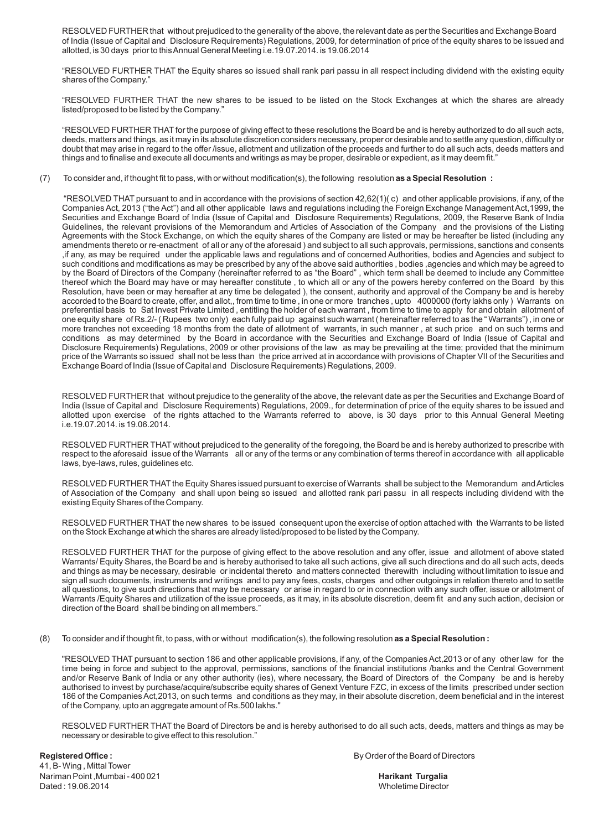RESOLVED FURTHER that without prejudiced to the generality of the above, the relevant date as per the Securities and Exchange Board of India (Issue of Capital and Disclosure Requirements) Regulations, 2009, for determination of price of the equity shares to be issued and allotted, is 30 days prior to this Annual General Meeting i.e.19.07.2014. is 19.06.2014

"RESOLVED FURTHER THAT the Equity shares so issued shall rank pari passu in all respect including dividend with the existing equity shares of the Company."

"RESOLVED FURTHER THAT the new shares to be issued to be listed on the Stock Exchanges at which the shares are already listed/proposed to be listed by the Company."

"RESOLVED FURTHER THAT for the purpose of giving effect to these resolutions the Board be and is hereby authorized to do all such acts, deeds, matters and things, as it may in its absolute discretion considers necessary, proper or desirable and to settle any question, difficulty or doubt that may arise in regard to the offer /issue, allotment and utilization of the proceeds and further to do all such acts, deeds matters and things and to finalise and execute all documents and writings as may be proper, desirable or expedient, as it may deem fit."

(7) To consider and, if thought fit to pass, with or without modification(s), the following resolution **as a Special Resolution :**

"RESOLVED THAT pursuant to and in accordance with the provisions of section 42,62(1)( c) and other applicable provisions, if any, of the Companies Act, 2013 ("the Act") and all other applicable laws and regulations including the Foreign Exchange Management Act,1999, the Securities and Exchange Board of India (Issue of Capital and Disclosure Requirements) Regulations, 2009, the Reserve Bank of India Guidelines, the relevant provisions of the Memorandum and Articles of Association of the Company and the provisions of the Listing Agreements with the Stock Exchange, on which the equity shares of the Company are listed or may be hereafter be listed (including any amendments thereto or re-enactment of all or any of the aforesaid ) and subject to all such approvals, permissions, sanctions and consents ,if any, as may be required under the applicable laws and regulations and of concerned Authorities, bodies and Agencies and subject to such conditions and modifications as may be prescribed by any of the above said authorities , bodies ,agencies and which may be agreed to by the Board of Directors of the Company (hereinafter referred to as "the Board" , which term shall be deemed to include any Committee thereof which the Board may have or may hereafter constitute , to which all or any of the powers hereby conferred on the Board by this Resolution, have been or may hereafter at any time be delegated ), the consent, authority and approval of the Company be and is hereby accorded to the Board to create, offer, and allot,, from time to time , in one or more tranches , upto 4000000 (forty lakhs only ) Warrants on preferential basis to Sat Invest Private Limited , entitling the holder of each warrant , from time to time to apply for and obtain allotment of one equity share of Rs.2/- ( Rupees two only) each fully paid up against such warrant ( hereinafter referred to as the " Warrants") , in one or more tranches not exceeding 18 months from the date of allotment of warrants, in such manner , at such price and on such terms and conditions as may determined by the Board in accordance with the Securities and Exchange Board of India (Issue of Capital and Disclosure Requirements) Regulations, 2009 or other provisions of the law as may be prevailing at the time; provided that the minimum price of the Warrants so issued shall not be less than the price arrived at in accordance with provisions of Chapter VII of the Securities and Exchange Board of India (Issue of Capital and Disclosure Requirements) Regulations, 2009.

RESOLVED FURTHER that without prejudice to the generality of the above, the relevant date as per the Securities and Exchange Board of India (Issue of Capital and Disclosure Requirements) Regulations, 2009., for determination of price of the equity shares to be issued and allotted upon exercise of the rights attached to the Warrants referred to above, is 30 days prior to this Annual General Meeting i.e.19.07.2014. is 19.06.2014.

RESOLVED FURTHER THAT without prejudiced to the generality of the foregoing, the Board be and is hereby authorized to prescribe with respect to the aforesaid issue of the Warrants all or any of the terms or any combination of terms thereof in accordance with all applicable laws, bye-laws, rules, guidelines etc.

RESOLVED FURTHER THAT the Equity Shares issued pursuant to exercise of Warrants shall be subject to the Memorandum and Articles of Association of the Company and shall upon being so issued and allotted rank pari passu in all respects including dividend with the existing Equity Shares of the Company.

RESOLVED FURTHER THAT the new shares to be issued consequent upon the exercise of option attached with the Warrants to be listed on the Stock Exchange at which the shares are already listed/proposed to be listed by the Company.

RESOLVED FURTHER THAT for the purpose of giving effect to the above resolution and any offer, issue and allotment of above stated Warrants/ Equity Shares, the Board be and is hereby authorised to take all such actions, give all such directions and do all such acts, deeds and things as may be necessary, desirable or incidental thereto and matters connected therewith including without limitation to issue and sign all such documents, instruments and writings and to pay any fees, costs, charges and other outgoings in relation thereto and to settle all questions, to give such directions that may be necessary or arise in regard to or in connection with any such offer, issue or allotment of Warrants /Equity Shares and utilization of the issue proceeds, as it may, in its absolute discretion, deem fit and any such action, decision or direction of the Board shall be binding on all members."

(8) To consider and if thought fit, to pass, with or without modification(s), the following resolution **as a Special Resolution :**

"RESOLVED THAT pursuant to section 186 and other applicable provisions, if any, of the Companies Act,2013 or of any other law for the time being in force and subject to the approval, permissions, sanctions of the financial institutions /banks and the Central Government and/or Reserve Bank of India or any other authority (ies), where necessary, the Board of Directors of the Company be and is hereby authorised to invest by purchase/acquire/subscribe equity shares of Genext Venture FZC, in excess of the limits prescribed under section 186 of the Companies Act,2013, on such terms and conditions as they may, in their absolute discretion, deem beneficial and in the interest of the Company, upto an aggregate amount of Rs.500 lakhs."

RESOLVED FURTHER THAT the Board of Directors be and is hereby authorised to do all such acts, deeds, matters and things as may be necessary or desirable to give effect to this resolution."

41, B- Wing , Mittal Tower Nariman Point ,Mumbai - 400 021 **Harikant Turgalia Harikant Turgalia** Dated : 19.06.2014 Wholetime Director

**Registered Office : By Order of the Board of Directors**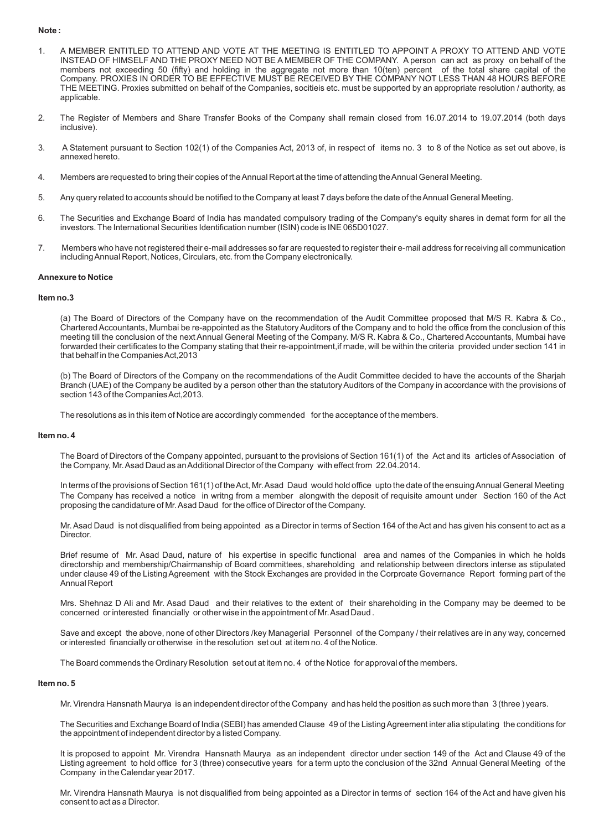#### **Note :**

- 1. A MEMBER ENTITLED TO ATTEND AND VOTE AT THE MEETING IS ENTITLED TO APPOINT A PROXY TO ATTEND AND VOTE INSTEAD OF HIMSELF AND THE PROXY NEED NOT BE A MEMBER OF THE COMPANY. A person can act as proxy on behalf of the members not exceeding 50 (fifty) and holding in the aggregate not more than 10(ten) percent of the total share capital of the Company. PROXIES IN ORDER TO BE EFFECTIVE MUST BE RECEIVED BY THE COMPANY NOT LESS THAN 48 HOURS BEFORE THE MEETING. Proxies submitted on behalf of the Companies, socitieis etc. must be supported by an appropriate resolution / authority, as applicable.
- 2. The Register of Members and Share Transfer Books of the Company shall remain closed from 16.07.2014 to 19.07.2014 (both days inclusive).
- 3. A Statement pursuant to Section 102(1) of the Companies Act, 2013 of, in respect of items no. 3 to 8 of the Notice as set out above, is annexed hereto.
- 4. Members are requested to bring their copies of the Annual Report at the time of attending the Annual General Meeting.
- 5. Any query related to accounts should be notified to the Company at least 7 days before the date of the Annual General Meeting.
- 6. The Securities and Exchange Board of India has mandated compulsory trading of the Company's equity shares in demat form for all the investors. The International Securities Identification number (ISIN) code is INE 065D01027.
- 7. Members who have not registered their e-mail addresses so far are requested to register their e-mail address for receiving all communication including Annual Report, Notices, Circulars, etc. from the Company electronically.

#### **Annexure to Notice**

#### **Item no.3**

(a) The Board of Directors of the Company have on the recommendation of the Audit Committee proposed that M/S R. Kabra & Co., Chartered Accountants, Mumbai be re-appointed as the Statutory Auditors of the Company and to hold the office from the conclusion of this meeting till the conclusion of the next Annual General Meeting of the Company. M/S R. Kabra & Co., Chartered Accountants, Mumbai have forwarded their certificates to the Company stating that their re-appointment,if made, will be within the criteria provided under section 141 in that behalf in the Companies Act,2013

(b) The Board of Directors of the Company on the recommendations of the Audit Committee decided to have the accounts of the Sharjah Branch (UAE) of the Company be audited by a person other than the statutory Auditors of the Company in accordance with the provisions of section 143 of the Companies Act,2013.

The resolutions as in this item of Notice are accordingly commended for the acceptance of the members.

#### **Item no. 4**

The Board of Directors of the Company appointed, pursuant to the provisions of Section 161(1) of the Act and its articles of Association of the Company, Mr. Asad Daud as an Additional Director of the Company with effect from 22.04.2014.

In terms of the provisions of Section 161(1) of the Act, Mr. Asad Daud would hold office upto the date of the ensuing Annual General Meeting The Company has received a notice in writng from a member alongwith the deposit of requisite amount under Section 160 of the Act proposing the candidature of Mr. Asad Daud for the office of Director of the Company.

Mr. Asad Daud is not disqualified from being appointed as a Director in terms of Section 164 of the Act and has given his consent to act as a Director.

Brief resume of Mr. Asad Daud, nature of his expertise in specific functional area and names of the Companies in which he holds directorship and membership/Chairmanship of Board committees, shareholding and relationship between directors interse as stipulated under clause 49 of the Listing Agreement with the Stock Exchanges are provided in the Corproate Governance Report forming part of the Annual Report

Mrs. Shehnaz D Ali and Mr. Asad Daud and their relatives to the extent of their shareholding in the Company may be deemed to be concerned or interested financially or other wise in the appointment of Mr. Asad Daud .

Save and except the above, none of other Directors /key Managerial Personnel of the Company / their relatives are in any way, concerned or interested financially or otherwise in the resolution set out at item no. 4 of the Notice.

The Board commends the Ordinary Resolution set out at item no. 4 of the Notice for approval of the members.

#### **Item no. 5**

Mr. Virendra Hansnath Maurya is an independent director of the Company and has held the position as such more than 3 (three ) years.

The Securities and Exchange Board of India (SEBI) has amended Clause 49 of the Listing Agreement inter alia stipulating the conditions for the appointment of independent director by a listed Company.

It is proposed to appoint Mr. Virendra Hansnath Maurya as an independent director under section 149 of the Act and Clause 49 of the Listing agreement to hold office for 3 (three) consecutive years for a term upto the conclusion of the 32nd Annual General Meeting of the Company in the Calendar year 2017.

Mr. Virendra Hansnath Maurya is not disqualified from being appointed as a Director in terms of section 164 of the Act and have given his consent to act as a Director.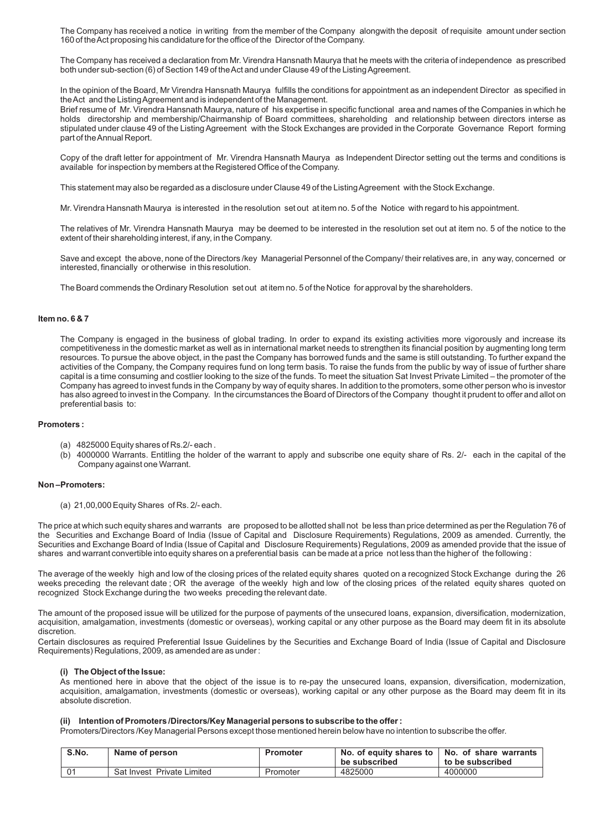The Company has received a notice in writing from the member of the Company alongwith the deposit of requisite amount under section 160 of the Act proposing his candidature for the office of the Director of the Company.

The Company has received a declaration from Mr. Virendra Hansnath Maurya that he meets with the criteria of independence as prescribed both under sub-section (6) of Section 149 of the Act and under Clause 49 of the Listing Agreement.

In the opinion of the Board, Mr Virendra Hansnath Maurya fulfills the conditions for appointment as an independent Director as specified in the Act and the Listing Agreement and is independent of the Management.

Brief resume of Mr. Virendra Hansnath Maurya, nature of his expertise in specific functional area and names of the Companies in which he holds directorship and membership/Chairmanship of Board committees, shareholding and relationship between directors interse as stipulated under clause 49 of the Listing Agreement with the Stock Exchanges are provided in the Corporate Governance Report forming part of the Annual Report.

Copy of the draft letter for appointment of Mr. Virendra Hansnath Maurya as Independent Director setting out the terms and conditions is available for inspection by members at the Registered Office of the Company.

This statement may also be regarded as a disclosure under Clause 49 of the Listing Agreement with the Stock Exchange.

Mr. Virendra Hansnath Maurya is interested in the resolution set out at item no. 5 of the Notice with regard to his appointment.

The relatives of Mr. Virendra Hansnath Maurya may be deemed to be interested in the resolution set out at item no. 5 of the notice to the extent of their shareholding interest, if any, in the Company.

Save and except the above, none of the Directors /key Managerial Personnel of the Company/ their relatives are, in any way, concerned or interested, financially or otherwise in this resolution.

The Board commends the Ordinary Resolution set out at item no. 5 of the Notice for approval by the shareholders.

#### **Item no. 6 & 7**

The Company is engaged in the business of global trading. In order to expand its existing activities more vigorously and increase its competitiveness in the domestic market as well as in international market needs to strengthen its financial position by augmenting long term resources. To pursue the above object, in the past the Company has borrowed funds and the same is still outstanding. To further expand the activities of the Company, the Company requires fund on long term basis. To raise the funds from the public by way of issue of further share capital is a time consuming and costlier looking to the size of the funds. To meet the situation Sat Invest Private Limited – the promoter of the Company has agreed to invest funds in the Company by way of equity shares. In addition to the promoters, some other person who is investor has also agreed to invest in the Company. In the circumstances the Board of Directors of the Company thought it prudent to offer and allot on preferential basis to:

#### **Promoters :**

- (a) 4825000 Equity shares of Rs.2/- each .
- (b) 4000000 Warrants. Entitling the holder of the warrant to apply and subscribe one equity share of Rs. 2/- each in the capital of the Company against one Warrant.

#### **Non –Promoters:**

(a) 21,00,000 Equity Shares of Rs. 2/- each.

The price at which such equity shares and warrants are proposed to be allotted shall not be less than price determined as per the Regulation 76 of the Securities and Exchange Board of India (Issue of Capital and Disclosure Requirements) Regulations, 2009 as amended. Currently, the Securities and Exchange Board of India (Issue of Capital and Disclosure Requirements) Regulations, 2009 as amended provide that the issue of shares and warrant convertible into equity shares on a preferential basis can be made at a price not less than the higher of the following :

The average of the weekly high and low of the closing prices of the related equity shares quoted on a recognized Stock Exchange during the 26 weeks preceding the relevant date ; OR the average of the weekly high and low of the closing prices of the related equity shares quoted on recognized Stock Exchange during the two weeks preceding the relevant date.

The amount of the proposed issue will be utilized for the purpose of payments of the unsecured loans, expansion, diversification, modernization, acquisition, amalgamation, investments (domestic or overseas), working capital or any other purpose as the Board may deem fit in its absolute discretion.

Certain disclosures as required Preferential Issue Guidelines by the Securities and Exchange Board of India (Issue of Capital and Disclosure Requirements) Regulations, 2009, as amended are as under:

#### **(i) The Object of the Issue:**

As mentioned here in above that the object of the issue is to re-pay the unsecured loans, expansion, diversification, modernization, acquisition, amalgamation, investments (domestic or overseas), working capital or any other purpose as the Board may deem fit in its absolute discretion.

#### **(ii) Intention of Promoters /Directors/Key Managerial persons to subscribe to the offer :**

Promoters/Directors /Key Managerial Persons except those mentioned herein below have no intention to subscribe the offer.

| S.No. | Name of person             | Promoter | No. of equity shares to   No. of share warrants<br>be subscribed | to be subscribed |
|-------|----------------------------|----------|------------------------------------------------------------------|------------------|
| . റ∙  | Sat Invest Private Limited | Promoter | 4825000                                                          | 4000000          |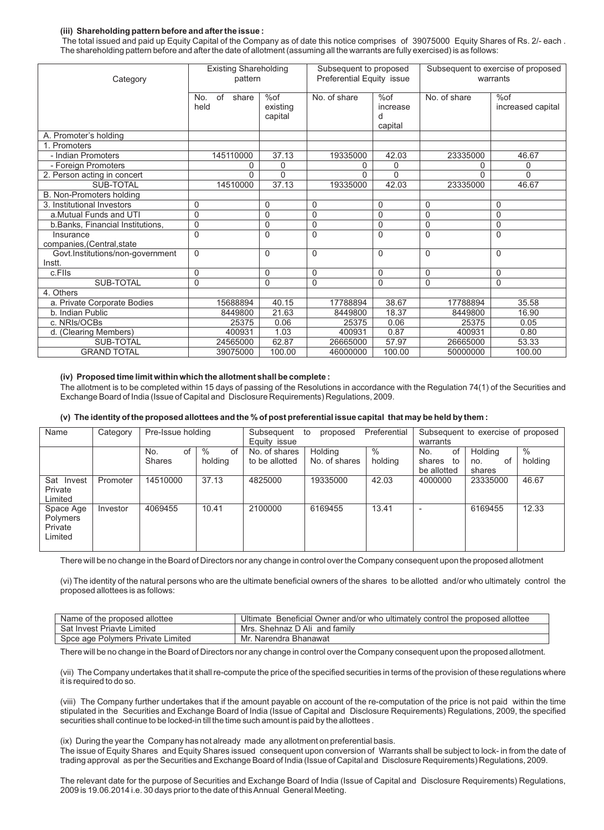## **(iii) Shareholding pattern before and after the issue :**

The total issued and paid up Equity Capital of the Company as of date this notice comprises of 39075000 Equity Shares of Rs. 2/- each . The shareholding pattern before and after the date of allotment (assuming all the warrants are fully exercised) is as follows:

| Category                                   | <b>Existing Shareholding</b><br>pattern |                            | Subsequent to proposed<br>Preferential Equity issue |                                 | Subsequent to exercise of proposed<br>warrants |                          |
|--------------------------------------------|-----------------------------------------|----------------------------|-----------------------------------------------------|---------------------------------|------------------------------------------------|--------------------------|
|                                            | of<br>share<br>No.<br>held              | %of<br>existing<br>capital | No. of share                                        | %of<br>increase<br>d<br>capital | No. of share                                   | %of<br>increased capital |
| A. Promoter's holding                      |                                         |                            |                                                     |                                 |                                                |                          |
| 1. Promoters                               |                                         |                            |                                                     |                                 |                                                |                          |
| - Indian Promoters                         | 145110000                               | 37.13                      | 19335000                                            | 42.03                           | 23335000                                       | 46.67                    |
| - Foreign Promoters                        | $\Omega$                                | 0                          | 0                                                   | 0                               | 0                                              | 0                        |
| 2. Person acting in concert                | $\Omega$                                | $\Omega$                   | $\Omega$                                            | $\Omega$                        | U                                              | $\Omega$                 |
| SUB-TOTAL                                  | 14510000                                | 37.13                      | 19335000                                            | 42.03                           | 23335000                                       | 46.67                    |
| B. Non-Promoters holding                   |                                         |                            |                                                     |                                 |                                                |                          |
| 3. Institutional Investors                 | 0                                       | $\mathbf 0$                | 0                                                   | $\Omega$                        | $\Omega$                                       | $\Omega$                 |
| a.Mutual Funds and UTI                     | $\mathbf 0$                             | $\mathbf 0$                | 0                                                   | $\mathbf 0$                     | 0                                              | 0                        |
| b.Banks, Financial Institutions,           | $\mathbf 0$                             | $\mathbf 0$                | 0                                                   | $\mathbf 0$                     | 0                                              | $\Omega$                 |
| Insurance<br>companies, (Central, state    | $\Omega$                                | $\mathbf{0}$               | $\Omega$                                            | $\Omega$                        | $\Omega$                                       | $\Omega$                 |
| Govt.Institutions/non-government<br>Instt. | $\Omega$                                | $\Omega$                   | 0                                                   | $\Omega$                        | $\Omega$                                       | 0                        |
| c.Flls                                     | $\mathbf 0$                             | $\mathbf 0$                | 0                                                   | $\mathbf 0$                     | 0                                              | $\mathbf 0$              |
| <b>SUB-TOTAL</b>                           | $\mathbf 0$                             | 0                          | 0                                                   | $\Omega$                        | $\Omega$                                       | 0                        |
| 4. Others                                  |                                         |                            |                                                     |                                 |                                                |                          |
| a. Private Corporate Bodies                | 15688894                                | 40.15                      | 17788894                                            | 38.67                           | 17788894                                       | 35.58                    |
| b. Indian Public                           | 8449800                                 | 21.63                      | 8449800                                             | 18.37                           | 8449800                                        | 16.90                    |
| c. NRIs/OCBs                               | 25375                                   | 0.06                       | 25375                                               | 0.06                            | 25375                                          | 0.05                     |
| d. (Clearing Members)                      | 400931                                  | 1.03                       | 400931                                              | 0.87                            | 400931                                         | 0.80                     |
| SUB-TOTAL                                  | 24565000                                | 62.87                      | 26665000                                            | 57.97                           | 26665000                                       | 53.33                    |
| <b>GRAND TOTAL</b>                         | 39075000                                | 100.00                     | 46000000                                            | 100.00                          | 50000000                                       | 100.00                   |

#### **(iv) Proposed time limit within which the allotment shall be complete :**

The allotment is to be completed within 15 days of passing of the Resolutions in accordance with the Regulation 74(1) of the Securities and Exchange Board of India (Issue of Capital and Disclosure Requirements) Regulations, 2009.

#### **(v) The identity of the proposed allottees and the % of post preferential issue capital that may be held by them :**

| Name                                        | Category | Pre-Issue holding          |                       | Preferential<br>Subsequent<br>to<br>proposed<br>Equity issue |                          | Subsequent to exercise of proposed<br>warrants |                                          |                                |                 |
|---------------------------------------------|----------|----------------------------|-----------------------|--------------------------------------------------------------|--------------------------|------------------------------------------------|------------------------------------------|--------------------------------|-----------------|
|                                             |          | No.<br>of<br><b>Shares</b> | $\%$<br>of<br>holding | No. of shares<br>to be allotted                              | Holding<br>No. of shares | $\frac{0}{0}$<br>holding                       | No.<br>0f<br>shares<br>to<br>be allotted | Holding<br>οf<br>no.<br>shares | $\%$<br>holding |
| Sat Invest<br>Private<br>Limited            | Promoter | 14510000                   | 37.13                 | 4825000                                                      | 19335000                 | 42.03                                          | 4000000                                  | 23335000                       | 46.67           |
| Space Age<br>Polymers<br>Private<br>Limited | Investor | 4069455                    | 10.41                 | 2100000                                                      | 6169455                  | 13.41                                          | ۰                                        | 6169455                        | 12.33           |

There will be no change in the Board of Directors nor any change in control over the Company consequent upon the proposed allotment

(vi) The identity of the natural persons who are the ultimate beneficial owners of the shares to be allotted and/or who ultimately control the proposed allottees is as follows:

| Name of the proposed allottee     | Ultimate Beneficial Owner and/or who ultimately control the proposed allottee |
|-----------------------------------|-------------------------------------------------------------------------------|
| <b>Sat Invest Priavte Limited</b> | Mrs. Shehnaz D Ali and family                                                 |
| Spce age Polymers Private Limited | Mr. Narendra Bhanawat                                                         |

There will be no change in the Board of Directors nor any change in control over the Company consequent upon the proposed allotment.

(vii) The Company undertakes that it shall re-compute the price of the specified securities in terms of the provision of these regulations where it is required to do so.

(viii) The Company further undertakes that if the amount payable on account of the re-computation of the price is not paid within the time stipulated in the Securities and Exchange Board of India (Issue of Capital and Disclosure Requirements) Regulations, 2009, the specified securities shall continue to be locked-in till the time such amount is paid by the allottees .

(ix) During the year the Company has not already made any allotment on preferential basis. The issue of Equity Shares and Equity Shares issued consequent upon conversion of Warrants shall be subject to lock- in from the date of trading approval as per the Securities and Exchange Board of India (Issue of Capital and Disclosure Requirements) Regulations, 2009.

The relevant date for the purpose of Securities and Exchange Board of India (Issue of Capital and Disclosure Requirements) Regulations, 2009 is 19.06.2014 i.e. 30 days prior to the date of this Annual General Meeting.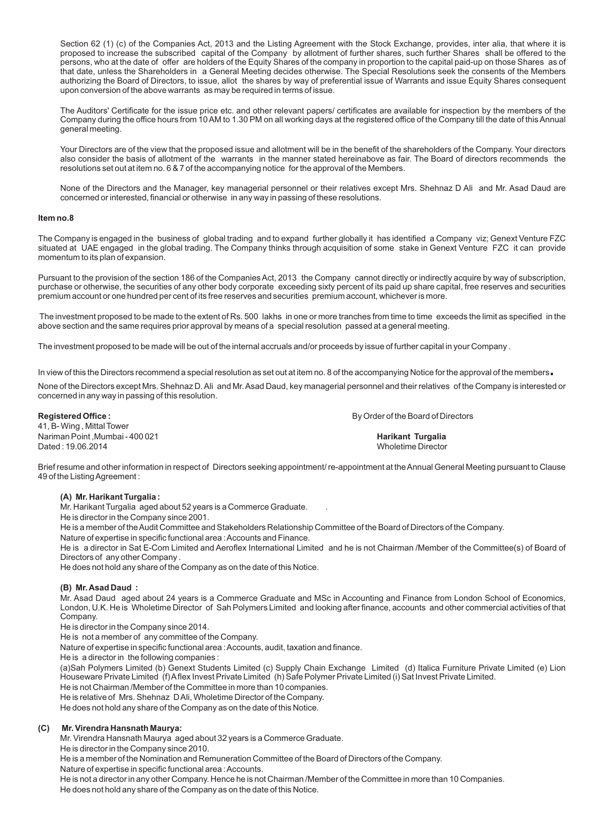Section 62 (1) (c) of the Companies Act, 2013 and the Listing Agreement with the Stock Exchange, provides, inter alia, that where it is proposed to increase the subscribed capital of the Company by allotment of further shares, such further Shares shall be offered to the persons, who at the date of offer are holders of the Equity Shares of the company in proportion to the capital paid-up on those Shares as of that date, unless the Shareholders in a General Meeting decides otherwise. The Special Resolutions seek the consents of the Members authorizing the Board of Directors, to issue, allot the shares by way of preferential issue of Warrants and issue Equity Shares consequent upon conversion of the above warrants as may be required in terms of issue.

The Auditors' Certificate for the issue price etc. and other relevant papers/ certificates are available for inspection by the members of the Company during the office hours from 10 AM to 1.30 PM on all working days at the registered office of the Company till the date of this Annual general meeting.

Your Directors are of the view that the proposed issue and allotment will be in the benefit of the shareholders of the Company. Your directors also consider the basis of allotment of the warrants in the manner stated hereinabove as fair. The Board of directors recommends the resolutions set out at item no. 6 & 7 of the accompanying notice for the approval of the Members.

None of the Directors and the Manager, key managerial personnel or their relatives except Mrs. Shehnaz D Ali and Mr. Asad Daud are concerned or interested, financial or otherwise in any way in passing of these resolutions.

## **Item no.8**

The Company is engaged in the business of global trading and to expand further globally it has identified a Company viz; Genext Venture FZC situated at UAE engaged in the global trading. The Company thinks through acquisition of some stake in Genext Venture FZC it can provide momentum to its plan of expansion.

Pursuant to the provision of the section 186 of the Companies Act, 2013 the Company cannot directly or indirectly acquire by way of subscription, purchase or otherwise, the securities of any other body corporate exceeding sixty percent of its paid up share capital, free reserves and securities premium account or one hundred per cent of its free reserves and securities premium account, whichever is more.

The investment proposed to be made to the extent of Rs. 500 lakhs in one or more tranches from time to time exceeds the limit as specified in the above section and the same requires prior approval by means of a special resolution passed at a general meeting.

The investment proposed to be made will be out of the internal accruals and/or proceeds by issue of further capital in your Company .

In view of this the Directors recommend a special resolution as set out at item no. 8 of the accompanying Notice for the approval of the members**.**

None of the Directors except Mrs. Shehnaz D. Ali and Mr. Asad Daud, key managerial personnel and their relatives of the Company is interested or concerned in any way in passing of this resolution.

41, B- Wing , Mittal Tower Nariman Point ,Mumbai - 400 021 **Harikant Turgalia**  Dated : 19.06.2014 Wholetime Director

**Registered Office : By Order of the Board of Directors** 

Brief resume and other information in respect of Directors seeking appointment/ re-appointment at the Annual General Meeting pursuant to Clause 49 of the Listing Agreement :

## **(A) Mr. Harikant Turgalia :**

Mr. Harikant Turgalia aged about 52 years is a Commerce Graduate. .

He is director in the Company since 2001.

He is a member of the Audit Committee and Stakeholders Relationship Committee of the Board of Directors of the Company.

Nature of expertise in specific functional area : Accounts and Finance.

He is a director in Sat E-Com Limited and Aeroflex International Limited and he is not Chairman /Member of the Committee(s) of Board of Directors of any other Company .

He does not hold any share of the Company as on the date of this Notice.

## **(B) Mr. Asad Daud :**

Mr. Asad Daud aged about 24 years is a Commerce Graduate and MSc in Accounting and Finance from London School of Economics, London, U.K. He is Wholetime Director of Sah Polymers Limited and looking after finance, accounts and other commercial activities of that Company.

He is director in the Company since 2014.

He is not a member of any committee of the Company.

Nature of expertise in specific functional area : Accounts, audit, taxation and finance.

He is a director in the following companies :

(a)Sah Polymers Limited (b) Genext Students Limited (c) Supply Chain Exchange Limited (d) Italica Furniture Private Limited (e) Lion Houseware Private Limited (f) Aflex Invest Private Limited (h) Safe Polymer Private Limited (i) Sat Invest Private Limited.

He is not Chairman /Member of the Committee in more than 10 companies.

He is relative of Mrs. Shehnaz D Ali, Wholetime Director of the Company.

He does not hold any share of the Company as on the date of this Notice.

## **(C) Mr. Virendra Hansnath Maurya:**

Mr. Virendra Hansnath Maurya aged about 32 years is a Commerce Graduate.

He is director in the Company since 2010.

He is a member of the Nomination and Remuneration Committee of the Board of Directors of the Company.

Nature of expertise in specific functional area : Accounts.

He is not a director in any other Company. Hence he is not Chairman /Member of the Committee in more than 10 Companies. He does not hold any share of the Company as on the date of this Notice.